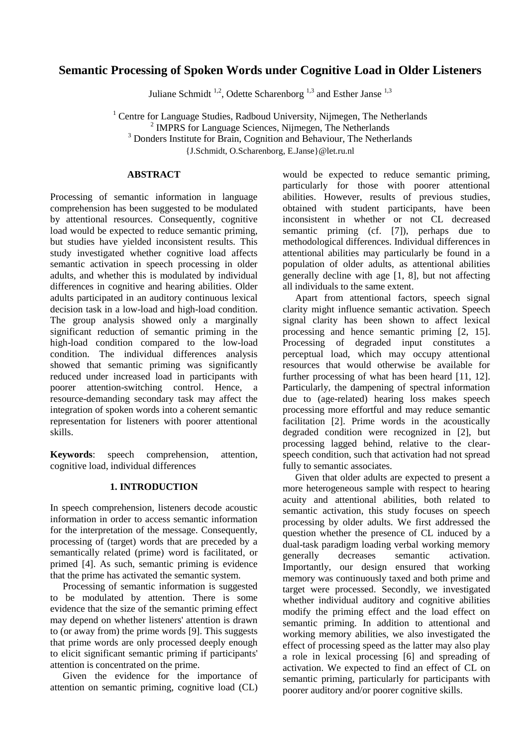# **Semantic Processing of Spoken Words under Cognitive Load in Older Listeners**

Juliane Schmidt<sup>1,2</sup>, Odette Scharenborg<sup>1,3</sup> and Esther Janse<sup>1,3</sup>

 $1$  Centre for Language Studies, Radboud University, Nijmegen, The Netherlands <sup>2</sup> IMPRS for Language Sciences, Nijmegen, The Netherlands <sup>3</sup> Donders Institute for Brain, Cognition and Behaviour, The Netherlands {J.Schmidt, O.Scharenborg, E.Janse}@let.ru.nl

# **ABSTRACT**

Processing of semantic information in language comprehension has been suggested to be modulated by attentional resources. Consequently, cognitive load would be expected to reduce semantic priming, but studies have yielded inconsistent results. This study investigated whether cognitive load affects semantic activation in speech processing in older adults, and whether this is modulated by individual differences in cognitive and hearing abilities. Older adults participated in an auditory continuous lexical decision task in a low-load and high-load condition. The group analysis showed only a marginally significant reduction of semantic priming in the high-load condition compared to the low-load condition. The individual differences analysis showed that semantic priming was significantly reduced under increased load in participants with poorer attention-switching control. Hence, a resource-demanding secondary task may affect the integration of spoken words into a coherent semantic representation for listeners with poorer attentional skills.

**Keywords**: speech comprehension, attention, cognitive load, individual differences

# **1. INTRODUCTION**

In speech comprehension, listeners decode acoustic information in order to access semantic information for the interpretation of the message. Consequently, processing of (target) words that are preceded by a semantically related (prime) word is facilitated, or primed [4]. As such, semantic priming is evidence that the prime has activated the semantic system.

Processing of semantic information is suggested to be modulated by attention. There is some evidence that the size of the semantic priming effect may depend on whether listeners' attention is drawn to (or away from) the prime words [9]. This suggests that prime words are only processed deeply enough to elicit significant semantic priming if participants' attention is concentrated on the prime.

Given the evidence for the importance of attention on semantic priming, cognitive load (CL) would be expected to reduce semantic priming, particularly for those with poorer attentional abilities. However, results of previous studies, obtained with student participants, have been inconsistent in whether or not CL decreased semantic priming (cf. [7]), perhaps due to methodological differences. Individual differences in attentional abilities may particularly be found in a population of older adults, as attentional abilities generally decline with age [1, 8], but not affecting all individuals to the same extent.

Apart from attentional factors, speech signal clarity might influence semantic activation. Speech signal clarity has been shown to affect lexical processing and hence semantic priming [2, 15]. Processing of degraded input constitutes a perceptual load, which may occupy attentional resources that would otherwise be available for further processing of what has been heard [11, 12]. Particularly, the dampening of spectral information due to (age-related) hearing loss makes speech processing more effortful and may reduce semantic facilitation [2]. Prime words in the acoustically degraded condition were recognized in [2], but processing lagged behind, relative to the clearspeech condition, such that activation had not spread fully to semantic associates.

Given that older adults are expected to present a more heterogeneous sample with respect to hearing acuity and attentional abilities, both related to semantic activation, this study focuses on speech processing by older adults. We first addressed the question whether the presence of CL induced by a dual-task paradigm loading verbal working memory generally decreases semantic activation. Importantly, our design ensured that working memory was continuously taxed and both prime and target were processed. Secondly, we investigated whether individual auditory and cognitive abilities modify the priming effect and the load effect on semantic priming. In addition to attentional and working memory abilities, we also investigated the effect of processing speed as the latter may also play a role in lexical processing [6] and spreading of activation. We expected to find an effect of CL on semantic priming, particularly for participants with poorer auditory and/or poorer cognitive skills.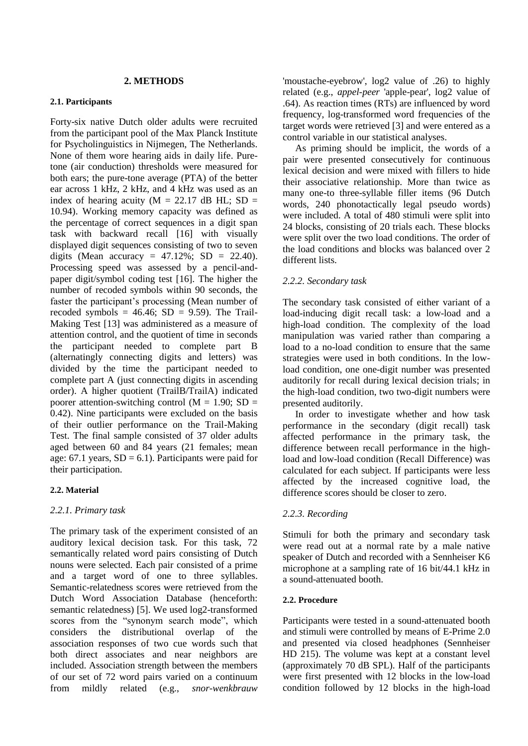#### **2. METHODS**

#### **2.1. Participants**

Forty-six native Dutch older adults were recruited from the participant pool of the Max Planck Institute for Psycholinguistics in Nijmegen, The Netherlands. None of them wore hearing aids in daily life. Puretone (air conduction) thresholds were measured for both ears; the pure-tone average (PTA) of the better ear across 1 kHz, 2 kHz, and 4 kHz was used as an index of hearing acuity ( $M = 22.17$  dB HL; SD = 10.94). Working memory capacity was defined as the percentage of correct sequences in a digit span task with backward recall [16] with visually displayed digit sequences consisting of two to seven digits (Mean accuracy =  $47.12\%$ ; SD = 22.40). Processing speed was assessed by a pencil-andpaper digit/symbol coding test [16]. The higher the number of recoded symbols within 90 seconds, the faster the participant's processing (Mean number of recoded symbols =  $46.46$ ; SD =  $9.59$ ). The Trail-Making Test [13] was administered as a measure of attention control, and the quotient of time in seconds the participant needed to complete part B (alternatingly connecting digits and letters) was divided by the time the participant needed to complete part A (just connecting digits in ascending order). A higher quotient (TrailB/TrailA) indicated poorer attention-switching control ( $M = 1.90$ ; SD = 0.42). Nine participants were excluded on the basis of their outlier performance on the Trail-Making Test. The final sample consisted of 37 older adults aged between 60 and 84 years (21 females; mean age: 67.1 years,  $SD = 6.1$ ). Participants were paid for their participation.

#### **2.2. Material**

# *2.2.1. Primary task*

The primary task of the experiment consisted of an auditory lexical decision task. For this task, 72 semantically related word pairs consisting of Dutch nouns were selected. Each pair consisted of a prime and a target word of one to three syllables. Semantic-relatedness scores were retrieved from the Dutch Word Association Database (henceforth: semantic relatedness) [5]. We used log2-transformed scores from the "synonym search mode", which considers the distributional overlap of the association responses of two cue words such that both direct associates and near neighbors are included. Association strength between the members of our set of 72 word pairs varied on a continuum from mildly related (e.g., *snor-wenkbrauw* 

'moustache-eyebrow', log2 value of .26) to highly related (e.g., *appel-peer* 'apple-pear', log2 value of .64). As reaction times (RTs) are influenced by word frequency, log-transformed word frequencies of the target words were retrieved [3] and were entered as a control variable in our statistical analyses.

As priming should be implicit, the words of a pair were presented consecutively for continuous lexical decision and were mixed with fillers to hide their associative relationship. More than twice as many one-to three-syllable filler items (96 Dutch words, 240 phonotactically legal pseudo words) were included. A total of 480 stimuli were split into 24 blocks, consisting of 20 trials each. These blocks were split over the two load conditions. The order of the load conditions and blocks was balanced over 2 different lists.

# *2.2.2. Secondary task*

The secondary task consisted of either variant of a load-inducing digit recall task: a low-load and a high-load condition. The complexity of the load manipulation was varied rather than comparing a load to a no-load condition to ensure that the same strategies were used in both conditions. In the lowload condition, one one-digit number was presented auditorily for recall during lexical decision trials; in the high-load condition, two two-digit numbers were presented auditorily.

In order to investigate whether and how task performance in the secondary (digit recall) task affected performance in the primary task, the difference between recall performance in the highload and low-load condition (Recall Difference) was calculated for each subject. If participants were less affected by the increased cognitive load, the difference scores should be closer to zero.

# *2.2.3. Recording*

Stimuli for both the primary and secondary task were read out at a normal rate by a male native speaker of Dutch and recorded with a Sennheiser K6 microphone at a sampling rate of 16 bit/44.1 kHz in a sound-attenuated booth.

#### **2.2. Procedure**

Participants were tested in a sound-attenuated booth and stimuli were controlled by means of E-Prime 2.0 and presented via closed headphones (Sennheiser HD 215). The volume was kept at a constant level (approximately 70 dB SPL). Half of the participants were first presented with 12 blocks in the low-load condition followed by 12 blocks in the high-load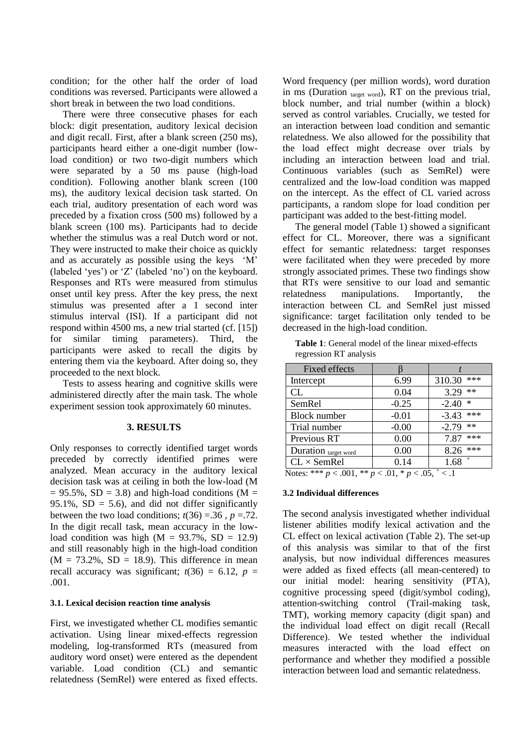condition; for the other half the order of load conditions was reversed. Participants were allowed a short break in between the two load conditions.

There were three consecutive phases for each block: digit presentation, auditory lexical decision and digit recall. First, after a blank screen (250 ms), participants heard either a one-digit number (lowload condition) or two two-digit numbers which were separated by a 50 ms pause (high-load condition). Following another blank screen (100 ms), the auditory lexical decision task started. On each trial, auditory presentation of each word was preceded by a fixation cross (500 ms) followed by a blank screen (100 ms). Participants had to decide whether the stimulus was a real Dutch word or not. They were instructed to make their choice as quickly and as accurately as possible using the keys 'M' (labeled 'yes') or 'Z' (labeled 'no') on the keyboard. Responses and RTs were measured from stimulus onset until key press. After the key press, the next stimulus was presented after a 1 second inter stimulus interval (ISI). If a participant did not respond within 4500 ms, a new trial started (cf. [15]) for similar timing parameters). Third, the participants were asked to recall the digits by entering them via the keyboard. After doing so, they proceeded to the next block.

Tests to assess hearing and cognitive skills were administered directly after the main task. The whole experiment session took approximately 60 minutes.

# **3. RESULTS**

Only responses to correctly identified target words preceded by correctly identified primes were analyzed. Mean accuracy in the auditory lexical decision task was at ceiling in both the low-load (M  $= 95.5\%$ , SD = 3.8) and high-load conditions (M = 95.1%,  $SD = 5.6$ ), and did not differ significantly between the two load conditions;  $t(36) = 36$ ,  $p = .72$ . In the digit recall task, mean accuracy in the lowload condition was high  $(M = 93.7\% , SD = 12.9)$ and still reasonably high in the high-load condition  $(M = 73.2\%, SD = 18.9)$ . This difference in mean recall accuracy was significant;  $t(36) = 6.12$ ,  $p =$ .001.

#### **3.1. Lexical decision reaction time analysis**

First, we investigated whether CL modifies semantic activation. Using linear mixed-effects regression modeling, log-transformed RTs (measured from auditory word onset) were entered as the dependent variable. Load condition (CL) and semantic relatedness (SemRel) were entered as fixed effects.

Word frequency (per million words), word duration in ms (Duration  $_{\text{target word}}$ ), RT on the previous trial, block number, and trial number (within a block) served as control variables. Crucially, we tested for an interaction between load condition and semantic relatedness. We also allowed for the possibility that the load effect might decrease over trials by including an interaction between load and trial. Continuous variables (such as SemRel) were centralized and the low-load condition was mapped on the intercept. As the effect of CL varied across participants, a random slope for load condition per participant was added to the best-fitting model.

The general model (Table 1) showed a significant effect for CL. Moreover, there was a significant effect for semantic relatedness: target responses were facilitated when they were preceded by more strongly associated primes. These two findings show that RTs were sensitive to our load and semantic relatedness manipulations. Importantly, the interaction between CL and SemRel just missed significance: target facilitation only tended to be decreased in the high-load condition.

| <b>Table 1:</b> General model of the linear mixed-effects |
|-----------------------------------------------------------|
| regression RT analysis                                    |

| <b>Fixed effects</b>                                            |         |                   |  |
|-----------------------------------------------------------------|---------|-------------------|--|
| Intercept                                                       | 6.99    | ***<br>310.30     |  |
| CL                                                              | 0.04    | $**$<br>3.29      |  |
| SemRel                                                          | $-0.25$ | $\ast$<br>$-2.40$ |  |
| Block number                                                    | $-0.01$ | $-3.43$ ***       |  |
| Trial number                                                    | $-0.00$ | $**$<br>$-2.79$   |  |
| Previous RT                                                     | 0.00    | ***<br>7.87       |  |
| Duration target word                                            | 0.00    | $8.26$ ***        |  |
| $CL \times SemRel$                                              | 0.14    | $+$<br>1.68       |  |
| Notes: *** $p < .001$ , ** $p < .01$ , * $p < .05$ , $\pm$ < .1 |         |                   |  |

# **3.2 Individual differences**

The second analysis investigated whether individual listener abilities modify lexical activation and the CL effect on lexical activation (Table 2). The set-up of this analysis was similar to that of the first analysis, but now individual differences measures were added as fixed effects (all mean-centered) to our initial model: hearing sensitivity (PTA), cognitive processing speed (digit/symbol coding), attention-switching control (Trail-making task, TMT), working memory capacity (digit span) and the individual load effect on digit recall (Recall Difference). We tested whether the individual measures interacted with the load effect on performance and whether they modified a possible interaction between load and semantic relatedness.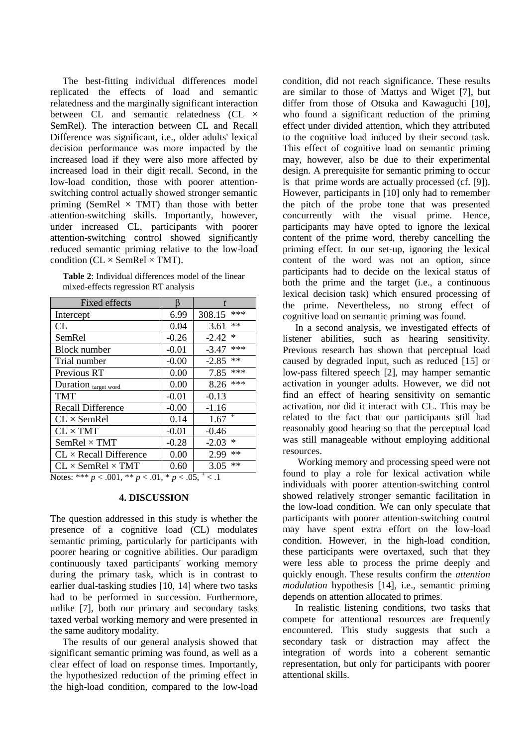The best-fitting individual differences model replicated the effects of load and semantic relatedness and the marginally significant interaction between CL and semantic relatedness (CL  $\times$ SemRel). The interaction between CL and Recall Difference was significant, i.e., older adults' lexical decision performance was more impacted by the increased load if they were also more affected by increased load in their digit recall. Second, in the low-load condition, those with poorer attentionswitching control actually showed stronger semantic priming (SemRel  $\times$  TMT) than those with better attention-switching skills. Importantly, however, under increased CL, participants with poorer attention-switching control showed significantly reduced semantic priming relative to the low-load condition ( $CL \times SemRel \times TMT$ ).

| <b>Table 2:</b> Individual differences model of the linear |
|------------------------------------------------------------|
| mixed-effects regression RT analysis                       |

| <b>Fixed effects</b>            |         |                   |
|---------------------------------|---------|-------------------|
| Intercept                       | 6.99    | ***<br>308.15     |
| CL                              | 0.04    | **<br>3.61        |
| SemRel                          | $-0.26$ | $\ast$<br>$-2.42$ |
| <b>Block number</b>             | $-0.01$ | ***<br>$-3.47$    |
| Trial number                    | $-0.00$ | **<br>$-2.85$     |
| Previous RT                     | 0.00    | ***<br>7.85       |
| Duration target word            | 0.00    | ***<br>8.26       |
| <b>TMT</b>                      | $-0.01$ | $-0.13$           |
| <b>Recall Difference</b>        | $-0.00$ | $-1.16$           |
| $CL \times$ SemRel              | 0.14    | $^{+}$<br>1.67    |
| $CL \times TMT$                 | $-0.01$ | $-0.46$           |
| $SemRel \times TMT$             | $-0.28$ | $\ast$<br>$-2.03$ |
| $CL \times Recall$ Difference   | 0.00    | **<br>2.99        |
| $CL \times$ SemRel $\times$ TMT | 0.60    | $**$<br>3.05      |

Notes: \*\*\*  $p < .001$ , \*\*  $p < .01$ , \*  $p < .05$ ,  $\frac{+}{+} < .1$ 

# **4. DISCUSSION**

The question addressed in this study is whether the presence of a cognitive load (CL) modulates semantic priming, particularly for participants with poorer hearing or cognitive abilities. Our paradigm continuously taxed participants' working memory during the primary task, which is in contrast to earlier dual-tasking studies [10, 14] where two tasks had to be performed in succession. Furthermore, unlike [7], both our primary and secondary tasks taxed verbal working memory and were presented in the same auditory modality.

The results of our general analysis showed that significant semantic priming was found, as well as a clear effect of load on response times. Importantly, the hypothesized reduction of the priming effect in the high-load condition, compared to the low-load

condition, did not reach significance. These results are similar to those of Mattys and Wiget [7], but differ from those of Otsuka and Kawaguchi [10], who found a significant reduction of the priming effect under divided attention, which they attributed to the cognitive load induced by their second task. This effect of cognitive load on semantic priming may, however, also be due to their experimental design. A prerequisite for semantic priming to occur is that prime words are actually processed (cf. [9]). However, participants in [10] only had to remember the pitch of the probe tone that was presented concurrently with the visual prime. Hence, participants may have opted to ignore the lexical content of the prime word, thereby cancelling the priming effect. In our set-up, ignoring the lexical content of the word was not an option, since participants had to decide on the lexical status of both the prime and the target (i.e., a continuous lexical decision task) which ensured processing of the prime. Nevertheless, no strong effect of cognitive load on semantic priming was found.

In a second analysis, we investigated effects of listener abilities, such as hearing sensitivity. Previous research has shown that perceptual load caused by degraded input, such as reduced [15] or low-pass filtered speech [2], may hamper semantic activation in younger adults. However, we did not find an effect of hearing sensitivity on semantic activation, nor did it interact with CL. This may be related to the fact that our participants still had reasonably good hearing so that the perceptual load was still manageable without employing additional resources.

Working memory and processing speed were not found to play a role for lexical activation while individuals with poorer attention-switching control showed relatively stronger semantic facilitation in the low-load condition. We can only speculate that participants with poorer attention-switching control may have spent extra effort on the low-load condition. However, in the high-load condition, these participants were overtaxed, such that they were less able to process the prime deeply and quickly enough. These results confirm the *attention modulation* hypothesis [14], i.e., semantic priming depends on attention allocated to primes.

In realistic listening conditions, two tasks that compete for attentional resources are frequently encountered. This study suggests that such a secondary task or distraction may affect the integration of words into a coherent semantic representation, but only for participants with poorer attentional skills.